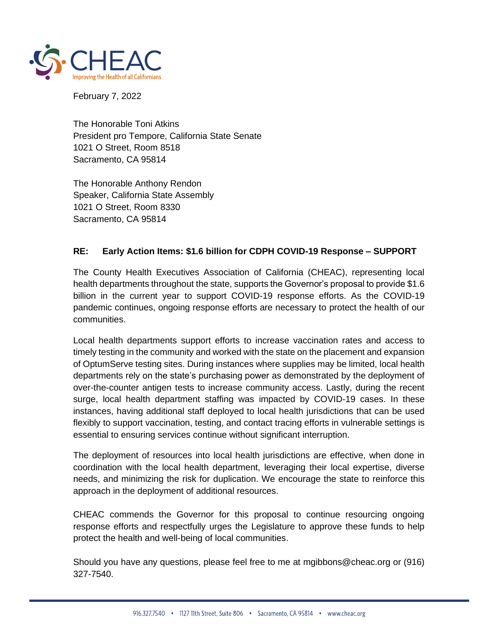

February 7, 2022

The Honorable Toni Atkins President pro Tempore, California State Senate 1021 O Street, Room 8518 Sacramento, CA 95814

The Honorable Anthony Rendon Speaker, California State Assembly 1021 O Street, Room 8330 Sacramento, CA 95814

## **RE: Early Action Items: \$1.6 billion for CDPH COVID-19 Response – SUPPORT**

The County Health Executives Association of California (CHEAC), representing local health departments throughout the state, supports the Governor's proposal to provide \$1.6 billion in the current year to support COVID-19 response efforts. As the COVID-19 pandemic continues, ongoing response efforts are necessary to protect the health of our communities.

Local health departments support efforts to increase vaccination rates and access to timely testing in the community and worked with the state on the placement and expansion of OptumServe testing sites. During instances where supplies may be limited, local health departments rely on the state's purchasing power as demonstrated by the deployment of over-the-counter antigen tests to increase community access. Lastly, during the recent surge, local health department staffing was impacted by COVID-19 cases. In these instances, having additional staff deployed to local health jurisdictions that can be used flexibly to support vaccination, testing, and contact tracing efforts in vulnerable settings is essential to ensuring services continue without significant interruption.

The deployment of resources into local health jurisdictions are effective, when done in coordination with the local health department, leveraging their local expertise, diverse needs, and minimizing the risk for duplication. We encourage the state to reinforce this approach in the deployment of additional resources.

CHEAC commends the Governor for this proposal to continue resourcing ongoing response efforts and respectfully urges the Legislature to approve these funds to help protect the health and well-being of local communities.

Should you have any questions, please feel free to me at [mgibbons@cheac.org](mailto:mgibbons@cheac.org) or (916) 327-7540.